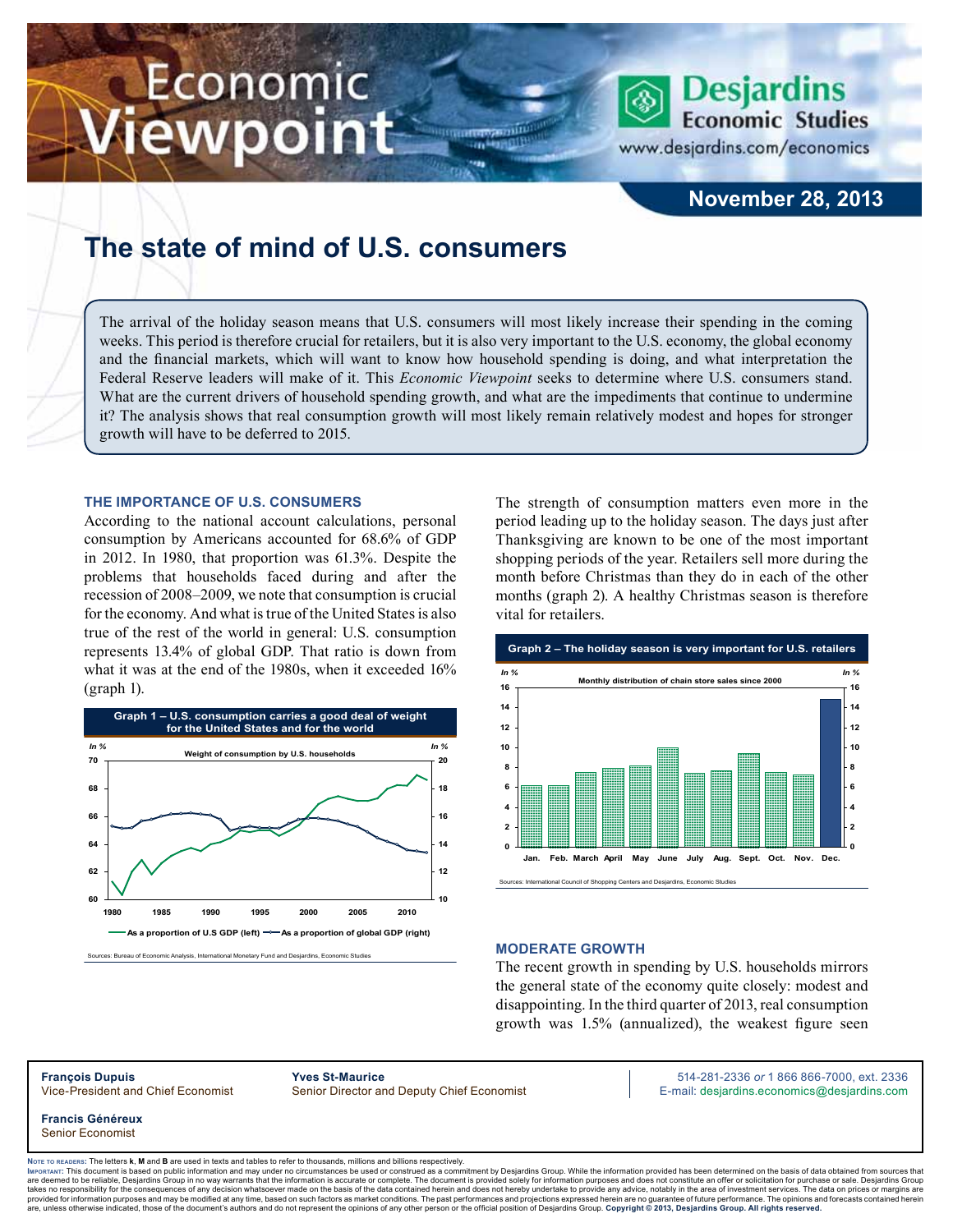# Economic ewpoint



**Economic Studies** 

**Desjardins** 

www.desjardins.com/economics

# **The state of mind of U.S. consumers**

The arrival of the holiday season means that U.S. consumers will most likely increase their spending in the coming weeks. This period is therefore crucial for retailers, but it is also very important to the U.S. economy, the global economy and the financial markets, which will want to know how household spending is doing, and what interpretation the Federal Reserve leaders will make of it. This *Economic Viewpoint* seeks to determine where U.S. consumers stand. What are the current drivers of household spending growth, and what are the impediments that continue to undermine it? The analysis shows that real consumption growth will most likely remain relatively modest and hopes for stronger growth will have to be deferred to 2015.

m

#### **The importance of U.S. consumers**

According to the national account calculations, personal consumption by Americans accounted for 68.6% of GDP in 2012. In 1980, that proportion was 61.3%. Despite the problems that households faced during and after the recession of 2008–2009, we note that consumption is crucial for the economy. And what is true of the United States is also true of the rest of the world in general: U.S. consumption represents 13.4% of global GDP. That ratio is down from what it was at the end of the 1980s, when it exceeded 16% (graph 1).



The strength of consumption matters even more in the period leading up to the holiday season. The days just after Thanksgiving are known to be one of the most important shopping periods of the year. Retailers sell more during the month before Christmas than they do in each of the other months (graph 2). A healthy Christmas season is therefore vital for retailers.



#### **Moderate growth**

The recent growth in spending by U.S. households mirrors the general state of the economy quite closely: modest and disappointing. In the third quarter of 2013, real consumption growth was 1.5% (annualized), the weakest figure seen

**Francis Généreux** Senior Economist

**François Dupuis Yves St-Maurice** 514-281-2336 *or* 1 866 866-7000, ext. 2336 Vice-President and Chief Economist Senior Director and Deputy Chief Economist E-mail: desjardins.economics@desjardins.com

Noте то келоекs: The letters **k, M** and **B** are used in texts and tables to refer to thousands, millions and billions respectively.<br>Імроктлит: This document is based on public information and may under no circumstances be are deemed to be reliable. Desiardins Group in no way warrants that the information is accurate or complete. The document is provided solely for information purposes and does not constitute an offer or solicitation for pur takes no responsibility for the consequences of any decision whatsoever made on the basis of the data contained herein and does not hereby undertake to provide any advice, notably in the area of investment services. The da .<br>are, unless otherwise indicated, those of the document's authors and do not represent the opinions of any other person or the official position of Desjardins Group. Copyright © 2013, Desjardins Group. All rights reserve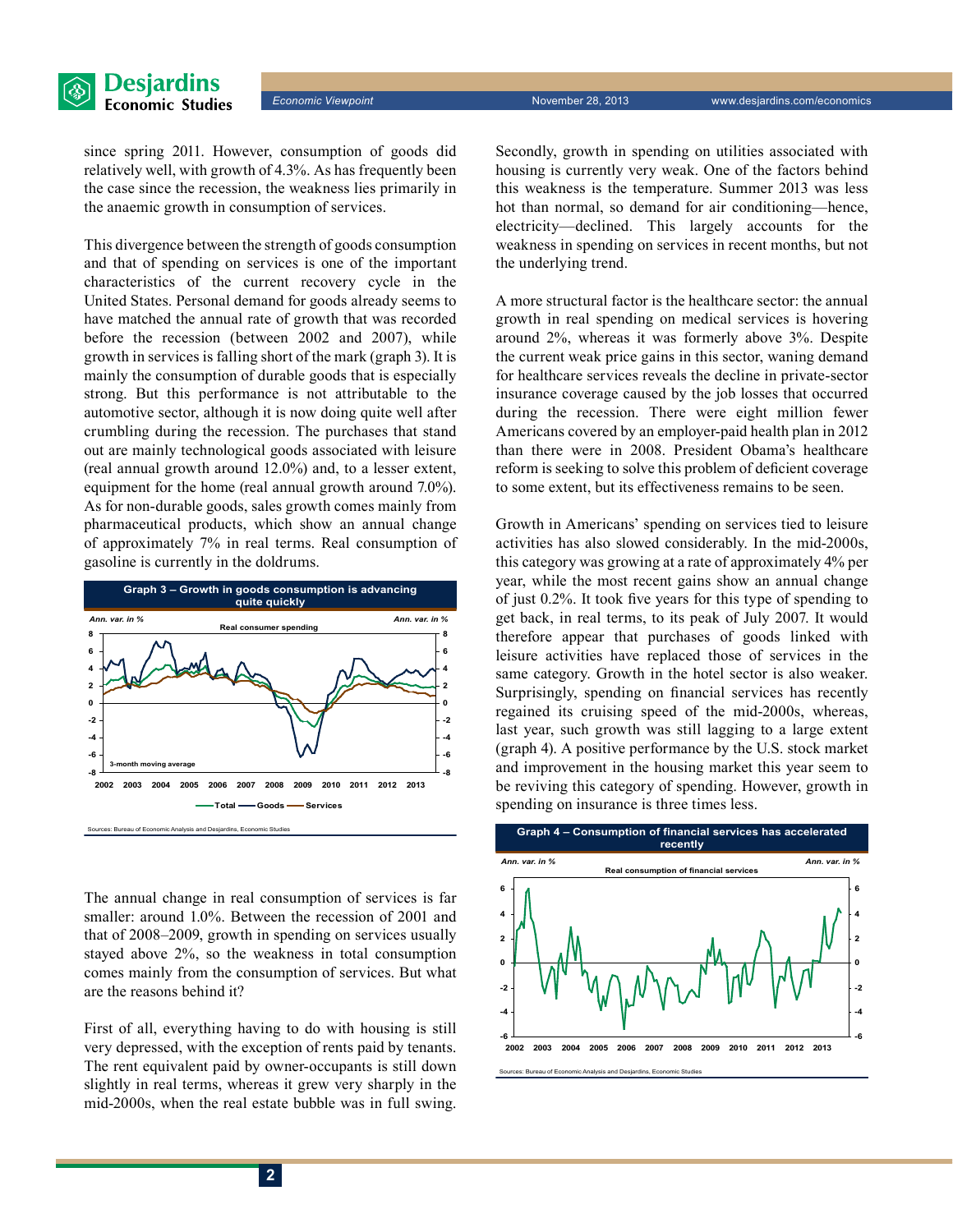

since spring 2011. However, consumption of goods did relatively well, with growth of 4.3%. As has frequently been the case since the recession, the weakness lies primarily in the anaemic growth in consumption of services.

This divergence between the strength of goods consumption and that of spending on services is one of the important characteristics of the current recovery cycle in the United States. Personal demand for goods already seems to have matched the annual rate of growth that was recorded before the recession (between 2002 and 2007), while growth in services is falling short of the mark (graph 3). It is mainly the consumption of durable goods that is especially strong. But this performance is not attributable to the automotive sector, although it is now doing quite well after crumbling during the recession. The purchases that stand out are mainly technological goods associated with leisure (real annual growth around 12.0%) and, to a lesser extent, equipment for the home (real annual growth around 7.0%). As for non-durable goods, sales growth comes mainly from pharmaceutical products, which show an annual change of approximately 7% in real terms. Real consumption of gasoline is currently in the doldrums.



The annual change in real consumption of services is far smaller: around 1.0%. Between the recession of 2001 and that of 2008–2009, growth in spending on services usually stayed above 2%, so the weakness in total consumption comes mainly from the consumption of services. But what are the reasons behind it?

First of all, everything having to do with housing is still very depressed, with the exception of rents paid by tenants. The rent equivalent paid by owner-occupants is still down slightly in real terms, whereas it grew very sharply in the mid-2000s, when the real estate bubble was in full swing.

Secondly, growth in spending on utilities associated with housing is currently very weak. One of the factors behind this weakness is the temperature. Summer 2013 was less hot than normal, so demand for air conditioning—hence, electricity—declined. This largely accounts for the weakness in spending on services in recent months, but not the underlying trend.

A more structural factor is the healthcare sector: the annual growth in real spending on medical services is hovering around 2%, whereas it was formerly above 3%. Despite the current weak price gains in this sector, waning demand for healthcare services reveals the decline in private-sector insurance coverage caused by the job losses that occurred during the recession. There were eight million fewer Americans covered by an employer-paid health plan in 2012 than there were in 2008. President Obama's healthcare reform is seeking to solve this problem of deficient coverage to some extent, but its effectiveness remains to be seen.

Growth in Americans' spending on services tied to leisure activities has also slowed considerably. In the mid-2000s, this category was growing at a rate of approximately 4% per year, while the most recent gains show an annual change of just 0.2%. It took five years for this type of spending to get back, in real terms, to its peak of July 2007. It would therefore appear that purchases of goods linked with leisure activities have replaced those of services in the same category. Growth in the hotel sector is also weaker. Surprisingly, spending on financial services has recently regained its cruising speed of the mid-2000s, whereas, last year, such growth was still lagging to a large extent (graph 4). A positive performance by the U.S. stock market and improvement in the housing market this year seem to be reviving this category of spending. However, growth in spending on insurance is three times less.



**2**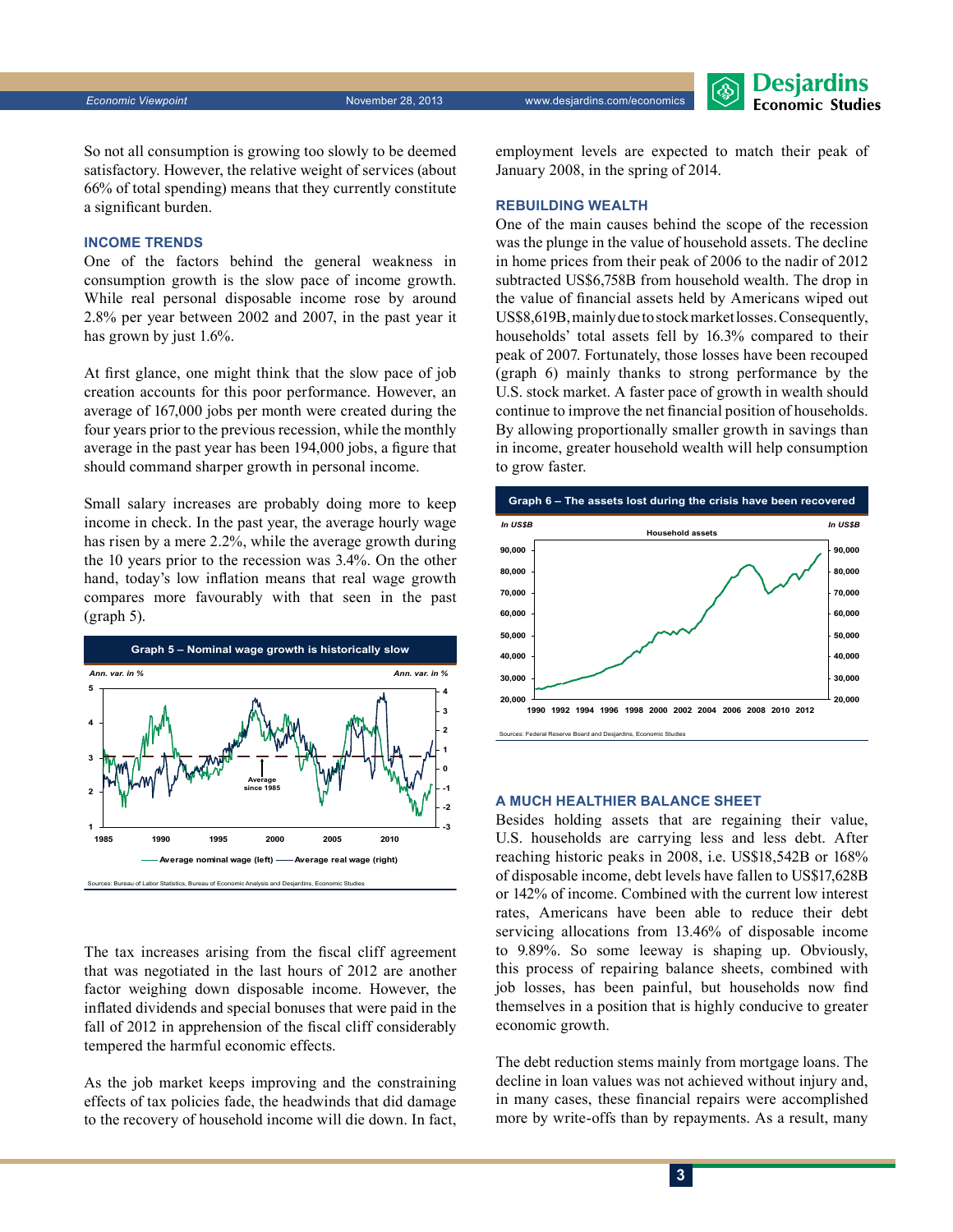Desjardins **Economic Studies** 

So not all consumption is growing too slowly to be deemed satisfactory. However, the relative weight of services (about 66% of total spending) means that they currently constitute a significant burden.

#### **Income trends**

One of the factors behind the general weakness in consumption growth is the slow pace of income growth. While real personal disposable income rose by around 2.8% per year between 2002 and 2007, in the past year it has grown by just 1.6%.

At first glance, one might think that the slow pace of job creation accounts for this poor performance. However, an average of 167,000 jobs per month were created during the four years prior to the previous recession, while the monthly average in the past year has been 194,000 jobs, a figure that should command sharper growth in personal income.

Small salary increases are probably doing more to keep income in check. In the past year, the average hourly wage has risen by a mere 2.2%, while the average growth during the 10 years prior to the recession was 3.4%. On the other hand, today's low inflation means that real wage growth compares more favourably with that seen in the past (graph 5).



The tax increases arising from the fiscal cliff agreement that was negotiated in the last hours of 2012 are another factor weighing down disposable income. However, the inflated dividends and special bonuses that were paid in the fall of 2012 in apprehension of the fiscal cliff considerably tempered the harmful economic effects.

As the job market keeps improving and the constraining effects of tax policies fade, the headwinds that did damage to the recovery of household income will die down. In fact, employment levels are expected to match their peak of January 2008, in the spring of 2014.

# **Rebuilding wealth**

One of the main causes behind the scope of the recession was the plunge in the value of household assets. The decline in home prices from their peak of 2006 to the nadir of 2012 subtracted US\$6,758B from household wealth. The drop in the value of financial assets held by Americans wiped out US\$8,619B, mainly due to stock market losses. Consequently, households' total assets fell by 16.3% compared to their peak of 2007. Fortunately, those losses have been recouped (graph 6) mainly thanks to strong performance by the U.S. stock market. A faster pace of growth in wealth should continue to improve the net financial position of households. By allowing proportionally smaller growth in savings than in income, greater household wealth will help consumption to grow faster.



#### **A much healthier balance sheet**

Besides holding assets that are regaining their value, U.S. households are carrying less and less debt. After reaching historic peaks in 2008, i.e. US\$18,542B or 168% of disposable income, debt levels have fallen to US\$17,628B or 142% of income. Combined with the current low interest rates, Americans have been able to reduce their debt servicing allocations from 13.46% of disposable income to 9.89%. So some leeway is shaping up. Obviously, this process of repairing balance sheets, combined with job losses, has been painful, but households now find themselves in a position that is highly conducive to greater economic growth.

The debt reduction stems mainly from mortgage loans. The decline in loan values was not achieved without injury and, in many cases, these financial repairs were accomplished more by write-offs than by repayments. As a result, many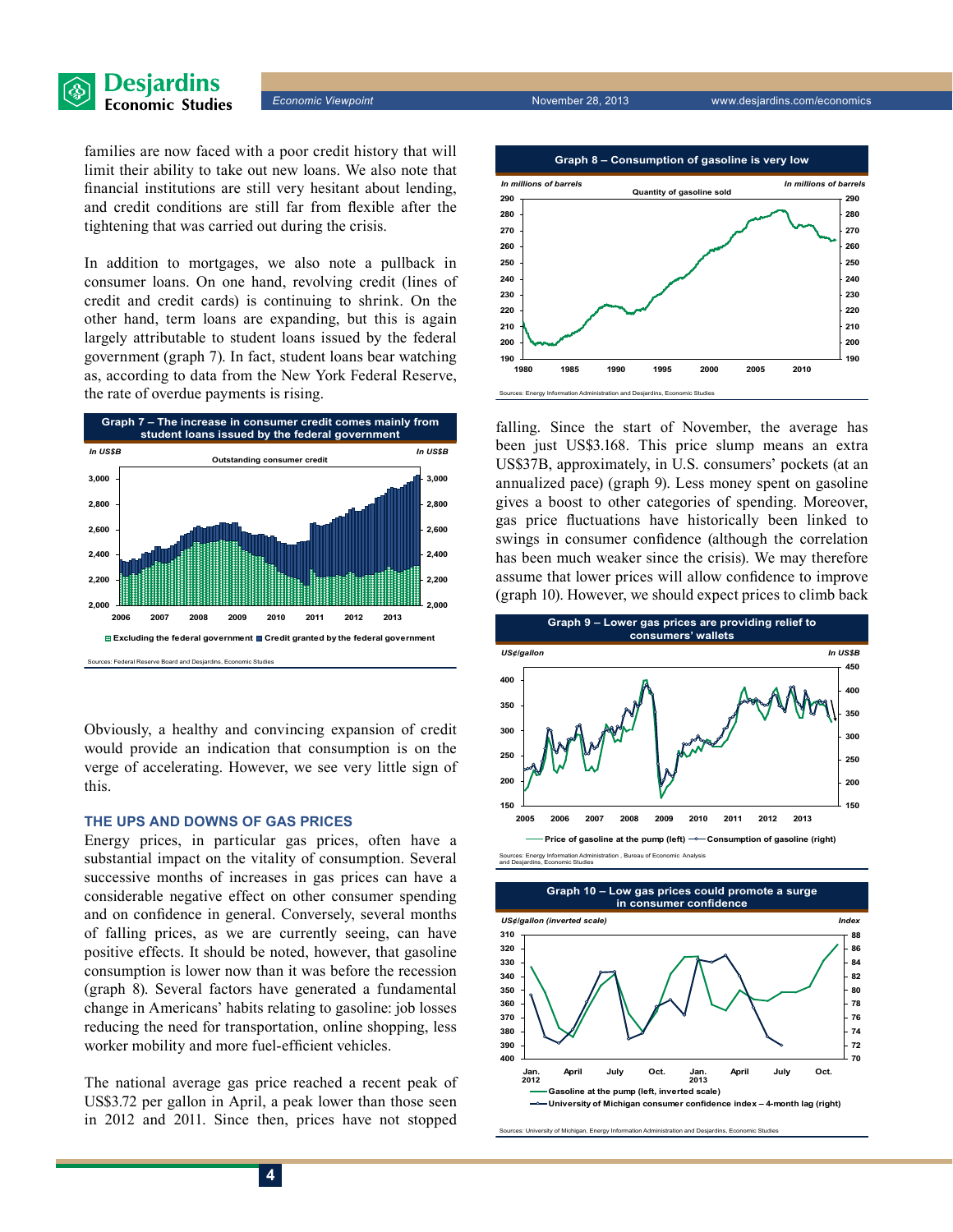

*Economic Viewpoint* November 28, 2013 www.desjardins.com/economics

families are now faced with a poor credit history that will limit their ability to take out new loans. We also note that financial institutions are still very hesitant about lending, and credit conditions are still far from flexible after the tightening that was carried out during the crisis.

In addition to mortgages, we also note a pullback in consumer loans. On one hand, revolving credit (lines of credit and credit cards) is continuing to shrink. On the other hand, term loans are expanding, but this is again largely attributable to student loans issued by the federal government (graph 7). In fact, student loans bear watching as, according to data from the New York Federal Reserve, the rate of overdue payments is rising.



Obviously, a healthy and convincing expansion of credit would provide an indication that consumption is on the verge of accelerating. However, we see very little sign of this.

# **The ups and downs of gas prices**

Energy prices, in particular gas prices, often have a substantial impact on the vitality of consumption. Several successive months of increases in gas prices can have a considerable negative effect on other consumer spending and on confidence in general. Conversely, several months of falling prices, as we are currently seeing, can have positive effects. It should be noted, however, that gasoline consumption is lower now than it was before the recession (graph 8). Several factors have generated a fundamental change in Americans' habits relating to gasoline: job losses reducing the need for transportation, online shopping, less worker mobility and more fuel-efficient vehicles.

The national average gas price reached a recent peak of US\$3.72 per gallon in April, a peak lower than those seen in 2012 and 2011. Since then, prices have not stopped



falling. Since the start of November, the average has been just US\$3.168. This price slump means an extra US\$37B, approximately, in U.S. consumers' pockets (at an annualized pace) (graph 9). Less money spent on gasoline gives a boost to other categories of spending. Moreover, gas price fluctuations have historically been linked to swings in consumer confidence (although the correlation has been much weaker since the crisis). We may therefore assume that lower prices will allow confidence to improve (graph 10). However, we should expect prices to climb back



**Sureau of Economic Analysis** and Desjardins, Economic Studies



ces: University of Michigan, Energy Information Administration and Desjardins, Economic Studie